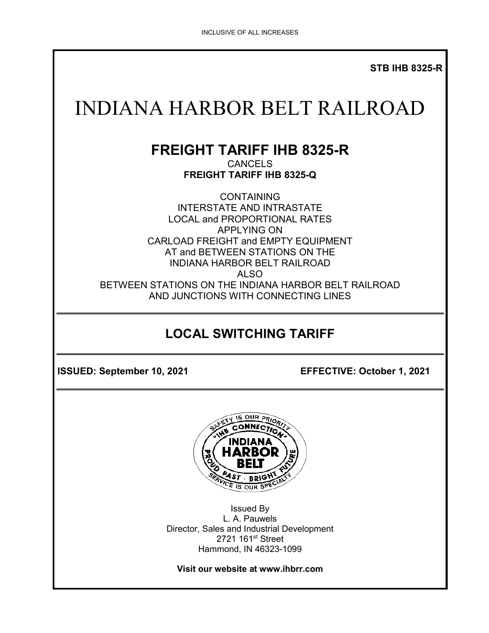**STB IHB 8325-R**

# INDIANA HARBOR BELT RAILROAD

# **FREIGHT TARIFF IHB 8325-R**

CANCELS **FREIGHT TARIFF IHB 8325-Q**

**CONTAINING** INTERSTATE AND INTRASTATE LOCAL and PROPORTIONAL RATES APPLYING ON CARLOAD FREIGHT and EMPTY EQUIPMENT AT and BETWEEN STATIONS ON THE INDIANA HARBOR BELT RAILROAD ALSO BETWEEN STATIONS ON THE INDIANA HARBOR BELT RAILROAD AND JUNCTIONS WITH CONNECTING LINES

# **LOCAL SWITCHING TARIFF**

**ISSUED: September 10, 2021 EFFECTIVE: October 1, 2021**



Issued By L. A. Pauwels Director, Sales and Industrial Development 2721 161<sup>st</sup> Street Hammond, IN 46323-1099

**Visit our website at www.ihbrr.com**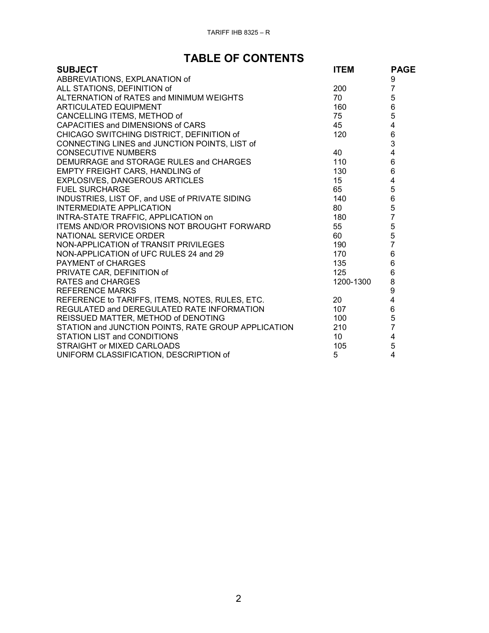# **TABLE OF CONTENTS**

| <b>SUBJECT</b>                                      | <b>ITEM</b>     | <b>PAGE</b>                                |
|-----------------------------------------------------|-----------------|--------------------------------------------|
| ABBREVIATIONS, EXPLANATION of                       |                 | 9                                          |
| ALL STATIONS, DEFINITION of                         | 200             | $\overline{7}$                             |
| ALTERNATION of RATES and MINIMUM WEIGHTS            | 70              |                                            |
| <b>ARTICULATED EQUIPMENT</b>                        | 160             | 5<br>6<br>5                                |
| CANCELLING ITEMS, METHOD of                         | 75              |                                            |
| CAPACITIES and DIMENSIONS of CARS                   | 45              |                                            |
| CHICAGO SWITCHING DISTRICT, DEFINITION of           | 120             | $\begin{array}{c} 4 \\ 6 \\ 3 \end{array}$ |
| CONNECTING LINES and JUNCTION POINTS, LIST of       |                 |                                            |
| <b>CONSECUTIVE NUMBERS</b>                          | 40              | $\overline{4}$                             |
| DEMURRAGE and STORAGE RULES and CHARGES             | 110             | 6                                          |
| EMPTY FREIGHT CARS, HANDLING of                     | 130             | $6\phantom{a}$                             |
| EXPLOSIVES, DANGEROUS ARTICLES                      | 15              | $\overline{\mathbf{4}}$                    |
| <b>FUEL SURCHARGE</b>                               | 65              | 5                                          |
| INDUSTRIES, LIST OF, and USE of PRIVATE SIDING      | 140             | 6                                          |
| <b>INTERMEDIATE APPLICATION</b>                     | 80              | $\frac{5}{7}$                              |
| INTRA-STATE TRAFFIC, APPLICATION on                 | 180             |                                            |
| ITEMS AND/OR PROVISIONS NOT BROUGHT FORWARD         | 55              | $\begin{array}{c} 5 \\ 5 \\ 7 \end{array}$ |
| NATIONAL SERVICE ORDER                              | 60              |                                            |
| NON-APPLICATION of TRANSIT PRIVILEGES               | 190             |                                            |
| NON-APPLICATION of UFC RULES 24 and 29              | 170             | $\overline{6}$                             |
| PAYMENT of CHARGES                                  | 135             | $\overline{6}$                             |
| PRIVATE CAR, DEFINITION of                          | 125             | 6                                          |
| <b>RATES and CHARGES</b>                            | 1200-1300       | 8                                          |
| <b>REFERENCE MARKS</b>                              |                 | 9<br>4                                     |
| REFERENCE to TARIFFS, ITEMS, NOTES, RULES, ETC.     | 20              |                                            |
| REGULATED and DEREGULATED RATE INFORMATION          | 107             | $\,$ 6 $\,$                                |
| REISSUED MATTER, METHOD of DENOTING                 | 100             | 5                                          |
| STATION and JUNCTION POINTS, RATE GROUP APPLICATION | 210             | $\overline{7}$                             |
| STATION LIST and CONDITIONS                         | 10 <sup>°</sup> | 4                                          |
| STRAIGHT or MIXED CARLOADS                          | 105             | 5                                          |
| UNIFORM CLASSIFICATION, DESCRIPTION of              | 5               | $\overline{4}$                             |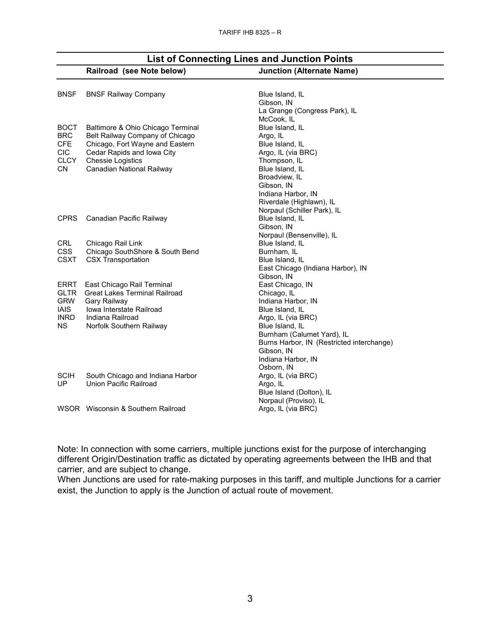|             | Railroad (see Note below)            | <b>Junction (Alternate Name)</b>          |
|-------------|--------------------------------------|-------------------------------------------|
|             |                                      |                                           |
| <b>BNSF</b> | <b>BNSF Railway Company</b>          | Blue Island, IL                           |
|             |                                      | Gibson, IN                                |
|             |                                      | La Grange (Congress Park), IL             |
|             |                                      | McCook, IL                                |
| <b>BOCT</b> | Baltimore & Ohio Chicago Terminal    | Blue Island, IL                           |
| <b>BRC</b>  | Belt Railway Company of Chicago      | Argo, IL                                  |
| <b>CFE</b>  | Chicago, Fort Wayne and Eastern      | Blue Island, IL                           |
| <b>CIC</b>  | Cedar Rapids and Iowa City           | Argo, IL (via BRC)                        |
| <b>CLCY</b> | <b>Chessie Logistics</b>             | Thompson, IL                              |
| <b>CN</b>   | Canadian National Railway            | Blue Island, IL                           |
|             |                                      | Broadview, IL                             |
|             |                                      | Gibson, IN                                |
|             |                                      | Indiana Harbor, IN                        |
|             |                                      | Riverdale (Highlawn), IL                  |
|             |                                      | Norpaul (Schiller Park), IL               |
| <b>CPRS</b> | Canadian Pacific Railway             | Blue Island, IL                           |
|             |                                      | Gibson, IN                                |
|             |                                      | Norpaul (Bensenville), IL                 |
| <b>CRL</b>  | Chicago Rail Link                    | Blue Island, IL                           |
| <b>CSS</b>  | Chicago SouthShore & South Bend      | Burnham, IL                               |
| <b>CSXT</b> | <b>CSX Transportation</b>            | Blue Island, IL                           |
|             |                                      | East Chicago (Indiana Harbor), IN         |
|             |                                      | Gibson, IN                                |
| <b>ERRT</b> | East Chicago Rail Terminal           | East Chicago, IN                          |
| <b>GLTR</b> | <b>Great Lakes Terminal Railroad</b> | Chicago, IL                               |
| <b>GRW</b>  | Gary Railway                         | Indiana Harbor, IN                        |
| <b>IAIS</b> | <b>Iowa Interstate Railroad</b>      | Blue Island, IL                           |
| <b>INRD</b> | Indiana Railroad                     | Argo, IL (via BRC)                        |
| ΝS          | Norfolk Southern Railway             | Blue Island, IL                           |
|             |                                      | Burnham (Calumet Yard), IL                |
|             |                                      | Burns Harbor, IN (Restricted interchange) |
|             |                                      | Gibson, IN                                |
|             |                                      | Indiana Harbor, IN                        |
|             |                                      | Osborn, IN                                |
| <b>SCIH</b> | South Chicago and Indiana Harbor     | Argo, IL (via BRC)                        |
| UP          | Union Pacific Railroad               | Argo, IL                                  |
|             |                                      | Blue Island (Dolton), IL                  |
|             |                                      | Norpaul (Proviso), IL                     |
|             | WSOR Wisconsin & Southern Railroad   | Argo, IL (via BRC)                        |
|             |                                      |                                           |

**List of Connecting Lines and Junction Points**

Note: In connection with some carriers, multiple junctions exist for the purpose of interchanging different Origin/Destination traffic as dictated by operating agreements between the IHB and that carrier, and are subject to change.

When Junctions are used for rate-making purposes in this tariff, and multiple Junctions for a carrier exist, the Junction to apply is the Junction of actual route of movement.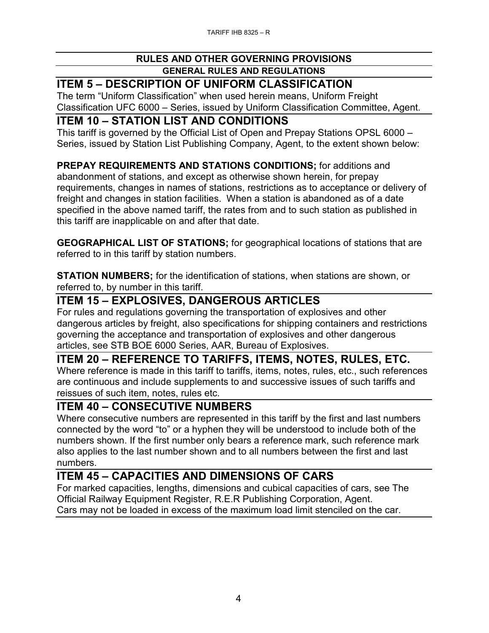## **ITEM 5 – DESCRIPTION OF UNIFORM CLASSIFICATION**

The term "Uniform Classification" when used herein means, Uniform Freight Classification UFC 6000 – Series, issued by Uniform Classification Committee, Agent.

#### **ITEM 10 – STATION LIST AND CONDITIONS**

This tariff is governed by the Official List of Open and Prepay Stations OPSL 6000 – Series, issued by Station List Publishing Company, Agent, to the extent shown below:

#### **PREPAY REQUIREMENTS AND STATIONS CONDITIONS;** for additions and

abandonment of stations, and except as otherwise shown herein, for prepay requirements, changes in names of stations, restrictions as to acceptance or delivery of freight and changes in station facilities. When a station is abandoned as of a date specified in the above named tariff, the rates from and to such station as published in this tariff are inapplicable on and after that date.

**GEOGRAPHICAL LIST OF STATIONS;** for geographical locations of stations that are referred to in this tariff by station numbers.

**STATION NUMBERS;** for the identification of stations, when stations are shown, or referred to, by number in this tariff.

#### **ITEM 15 – EXPLOSIVES, DANGEROUS ARTICLES**

For rules and regulations governing the transportation of explosives and other dangerous articles by freight, also specifications for shipping containers and restrictions governing the acceptance and transportation of explosives and other dangerous articles, see STB BOE 6000 Series, AAR, Bureau of Explosives.

### **ITEM 20 – REFERENCE TO TARIFFS, ITEMS, NOTES, RULES, ETC.**

Where reference is made in this tariff to tariffs, items, notes, rules, etc., such references are continuous and include supplements to and successive issues of such tariffs and reissues of such item, notes, rules etc.

#### **ITEM 40 – CONSECUTIVE NUMBERS**

Where consecutive numbers are represented in this tariff by the first and last numbers connected by the word "to" or a hyphen they will be understood to include both of the numbers shown. If the first number only bears a reference mark, such reference mark also applies to the last number shown and to all numbers between the first and last numbers.

### **ITEM 45 – CAPACITIES AND DIMENSIONS OF CARS**

For marked capacities, lengths, dimensions and cubical capacities of cars, see The Official Railway Equipment Register, R.E.R Publishing Corporation, Agent. Cars may not be loaded in excess of the maximum load limit stenciled on the car.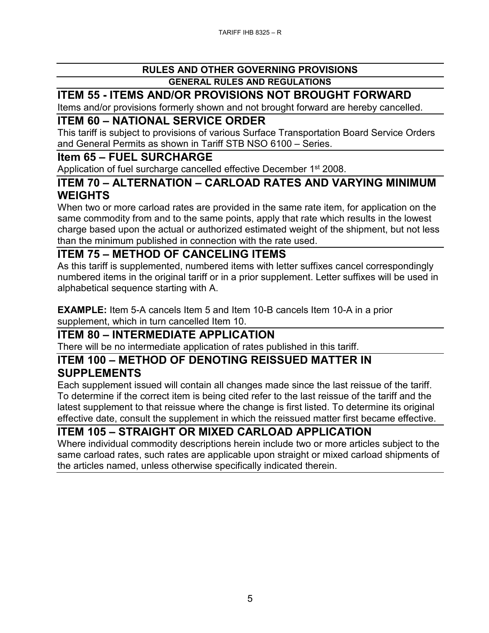#### **ITEM 55 - ITEMS AND/OR PROVISIONS NOT BROUGHT FORWARD**

Items and/or provisions formerly shown and not brought forward are hereby cancelled.

#### **ITEM 60 – NATIONAL SERVICE ORDER**

This tariff is subject to provisions of various Surface Transportation Board Service Orders and General Permits as shown in Tariff STB NSO 6100 – Series.

#### **Item 65 – FUEL SURCHARGE**

Application of fuel surcharge cancelled effective December 1<sup>st</sup> 2008.

#### **ITEM 70 – ALTERNATION – CARLOAD RATES AND VARYING MINIMUM WEIGHTS**

When two or more carload rates are provided in the same rate item, for application on the same commodity from and to the same points, apply that rate which results in the lowest charge based upon the actual or authorized estimated weight of the shipment, but not less than the minimum published in connection with the rate used.

#### **ITEM 75 – METHOD OF CANCELING ITEMS**

As this tariff is supplemented, numbered items with letter suffixes cancel correspondingly numbered items in the original tariff or in a prior supplement. Letter suffixes will be used in alphabetical sequence starting with A.

**EXAMPLE:** Item 5-A cancels Item 5 and Item 10-B cancels Item 10-A in a prior supplement, which in turn cancelled Item 10.

### **ITEM 80 – INTERMEDIATE APPLICATION**

There will be no intermediate application of rates published in this tariff.

#### **ITEM 100 – METHOD OF DENOTING REISSUED MATTER IN SUPPLEMENTS**

Each supplement issued will contain all changes made since the last reissue of the tariff. To determine if the correct item is being cited refer to the last reissue of the tariff and the latest supplement to that reissue where the change is first listed. To determine its original effective date, consult the supplement in which the reissued matter first became effective.

#### **ITEM 105 – STRAIGHT OR MIXED CARLOAD APPLICATION**

Where individual commodity descriptions herein include two or more articles subject to the same carload rates, such rates are applicable upon straight or mixed carload shipments of the articles named, unless otherwise specifically indicated therein.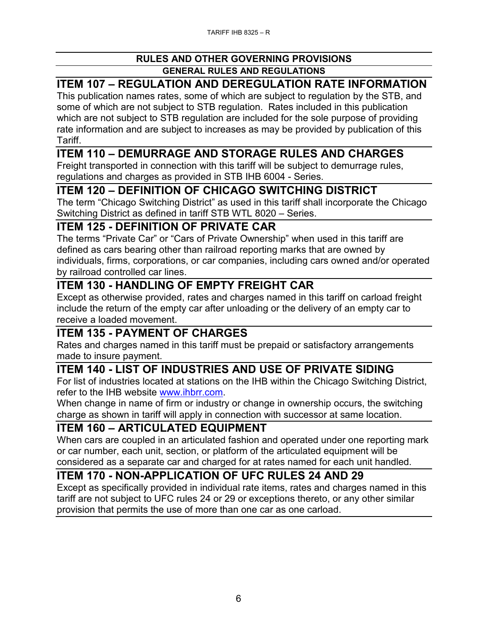## **ITEM 107 – REGULATION AND DEREGULATION RATE INFORMATION**

This publication names rates, some of which are subject to regulation by the STB, and some of which are not subject to STB regulation. Rates included in this publication which are not subject to STB regulation are included for the sole purpose of providing rate information and are subject to increases as may be provided by publication of this Tariff.

#### **ITEM 110 – DEMURRAGE AND STORAGE RULES AND CHARGES**

Freight transported in connection with this tariff will be subject to demurrage rules, regulations and charges as provided in STB IHB 6004 - Series.

#### **ITEM 120 – DEFINITION OF CHICAGO SWITCHING DISTRICT**

The term "Chicago Switching District" as used in this tariff shall incorporate the Chicago Switching District as defined in tariff STB WTL 8020 – Series.

#### **ITEM 125 - DEFINITION OF PRIVATE CAR**

The terms "Private Car" or "Cars of Private Ownership" when used in this tariff are defined as cars bearing other than railroad reporting marks that are owned by individuals, firms, corporations, or car companies, including cars owned and/or operated by railroad controlled car lines.

#### **ITEM 130 - HANDLING OF EMPTY FREIGHT CAR**

Except as otherwise provided, rates and charges named in this tariff on carload freight include the return of the empty car after unloading or the delivery of an empty car to receive a loaded movement.

### **ITEM 135 - PAYMENT OF CHARGES**

Rates and charges named in this tariff must be prepaid or satisfactory arrangements made to insure payment.

## **ITEM 140 - LIST OF INDUSTRIES AND USE OF PRIVATE SIDING**

For list of industries located at stations on the IHB within the Chicago Switching District, refer to the IHB website [www.ihbrr.com.](http://www.ihbrr.com/)

When change in name of firm or industry or change in ownership occurs, the switching charge as shown in tariff will apply in connection with successor at same location.

#### **ITEM 160 – ARTICULATED EQUIPMENT**

When cars are coupled in an articulated fashion and operated under one reporting mark or car number, each unit, section, or platform of the articulated equipment will be considered as a separate car and charged for at rates named for each unit handled.

### **ITEM 170 - NON-APPLICATION OF UFC RULES 24 AND 29**

Except as specifically provided in individual rate items, rates and charges named in this tariff are not subject to UFC rules 24 or 29 or exceptions thereto, or any other similar provision that permits the use of more than one car as one carload.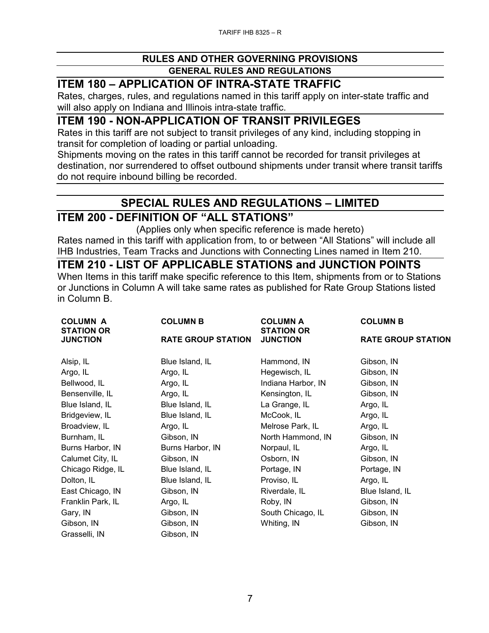#### **ITEM 180 – APPLICATION OF INTRA-STATE TRAFFIC**

Rates, charges, rules, and regulations named in this tariff apply on inter-state traffic and will also apply on Indiana and Illinois intra-state traffic.

#### **ITEM 190 - NON-APPLICATION OF TRANSIT PRIVILEGES**

Rates in this tariff are not subject to transit privileges of any kind, including stopping in transit for completion of loading or partial unloading.

Shipments moving on the rates in this tariff cannot be recorded for transit privileges at destination, nor surrendered to offset outbound shipments under transit where transit tariffs do not require inbound billing be recorded.

### **SPECIAL RULES AND REGULATIONS – LIMITED**

#### **ITEM 200 - DEFINITION OF "ALL STATIONS"**

(Applies only when specific reference is made hereto)

Rates named in this tariff with application from, to or between "All Stations" will include all IHB Industries, Team Tracks and Junctions with Connecting Lines named in Item 210.

#### **ITEM 210 - LIST OF APPLICABLE STATIONS and JUNCTION POINTS**

When Items in this tariff make specific reference to this Item, shipments from or to Stations or Junctions in Column A will take same rates as published for Rate Group Stations listed in Column B.

| <b>COLUMN A</b><br><b>STATION OR</b> | <b>COLUMN B</b>           | <b>COLUMN A</b><br><b>STATION OR</b> | <b>COLUMN B</b>           |
|--------------------------------------|---------------------------|--------------------------------------|---------------------------|
| <b>JUNCTION</b>                      | <b>RATE GROUP STATION</b> | <b>JUNCTION</b>                      | <b>RATE GROUP STATION</b> |
| Alsip, IL                            | Blue Island, IL           | Hammond, IN                          | Gibson, IN                |
| Argo, IL                             | Argo, IL                  | Hegewisch, IL                        | Gibson, IN                |
| Bellwood, IL                         | Argo, IL                  | Indiana Harbor, IN                   | Gibson, IN                |
| Bensenville, IL                      | Argo, IL                  | Kensington, IL                       | Gibson, IN                |
| Blue Island, IL                      | Blue Island, IL           | La Grange, IL                        | Argo, IL                  |
| Bridgeview, IL                       | Blue Island, IL           | McCook, IL                           | Argo, IL                  |
| Broadview, IL                        | Argo, IL                  | Melrose Park, IL                     | Argo, IL                  |
| Burnham, IL                          | Gibson, IN                | North Hammond, IN                    | Gibson, IN                |
| Burns Harbor, IN                     | Burns Harbor, IN          | Norpaul, IL                          | Argo, IL                  |
| Calumet City, IL                     | Gibson, IN                | Osborn, IN                           | Gibson, IN                |
| Chicago Ridge, IL                    | Blue Island, IL           | Portage, IN                          | Portage, IN               |
| Dolton, IL                           | Blue Island, IL           | Proviso, IL                          | Argo, IL                  |
| East Chicago, IN                     | Gibson, IN                | Riverdale, IL                        | Blue Island, IL           |
| Franklin Park, IL                    | Argo, IL                  | Roby, IN                             | Gibson, IN                |
| Gary, IN                             | Gibson, IN                | South Chicago, IL                    | Gibson, IN                |
| Gibson, IN                           | Gibson, IN                | Whiting, IN                          | Gibson, IN                |
| Grasselli, IN                        | Gibson, IN                |                                      |                           |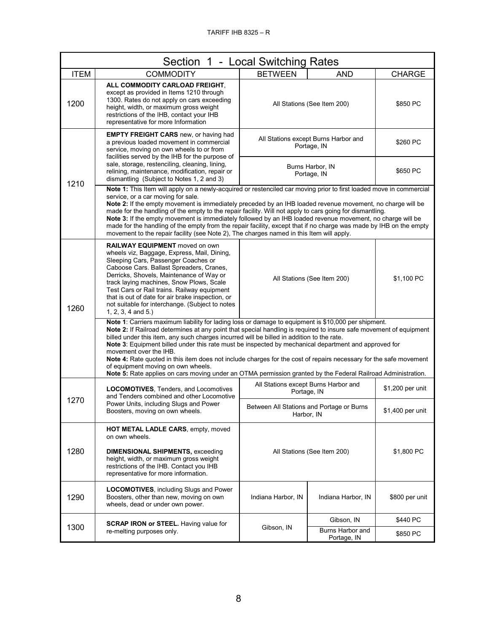| Section 1 - Local Switching Rates |                                                                                                                                                                                                                                                                                                                                                                                                                                                                                                                                                                                                                                                                                                                                     |                                                         |                                 |                  |
|-----------------------------------|-------------------------------------------------------------------------------------------------------------------------------------------------------------------------------------------------------------------------------------------------------------------------------------------------------------------------------------------------------------------------------------------------------------------------------------------------------------------------------------------------------------------------------------------------------------------------------------------------------------------------------------------------------------------------------------------------------------------------------------|---------------------------------------------------------|---------------------------------|------------------|
| <b>ITEM</b>                       | <b>COMMODITY</b>                                                                                                                                                                                                                                                                                                                                                                                                                                                                                                                                                                                                                                                                                                                    | <b>BETWEEN</b>                                          | <b>AND</b>                      | <b>CHARGE</b>    |
| 1200                              | ALL COMMODITY CARLOAD FREIGHT.<br>except as provided in Items 1210 through<br>1300. Rates do not apply on cars exceeding<br>height, width, or maximum gross weight<br>restrictions of the IHB, contact your IHB<br>representative for more Information                                                                                                                                                                                                                                                                                                                                                                                                                                                                              | All Stations (See Item 200)                             |                                 | \$850 PC         |
| 1210                              | <b>EMPTY FREIGHT CARS</b> new, or having had<br>a previous loaded movement in commercial<br>service, moving on own wheels to or from<br>facilities served by the IHB for the purpose of                                                                                                                                                                                                                                                                                                                                                                                                                                                                                                                                             | All Stations except Burns Harbor and<br>Portage, IN     |                                 | \$260 PC         |
|                                   | sale, storage, restenciling, cleaning, lining,<br>relining, maintenance, modification, repair or<br>dismantling (Subject to Notes 1, 2 and 3)                                                                                                                                                                                                                                                                                                                                                                                                                                                                                                                                                                                       | Burns Harbor, IN<br>Portage, IN                         |                                 | \$650 PC         |
|                                   | Note 1: This Item will apply on a newly-acquired or restenciled car moving prior to first loaded move in commercial<br>service, or a car moving for sale.<br>Note 2: If the empty movement is immediately preceded by an IHB loaded revenue movement, no charge will be<br>made for the handling of the empty to the repair facility. Will not apply to cars going for dismantling.<br>Note 3: If the empty movement is immediately followed by an IHB loaded revenue movement, no charge will be<br>made for the handling of the empty from the repair facility, except that if no charge was made by IHB on the empty<br>movement to the repair facility (see Note 2), The charges named in this Item will apply.                 |                                                         |                                 |                  |
| 1260                              | RAILWAY EQUIPMENT moved on own<br>wheels viz, Baggage, Express, Mail, Dining,<br>Sleeping Cars, Passenger Coaches or<br>Caboose Cars. Ballast Spreaders, Cranes,<br>Derricks, Shovels, Maintenance of Way or<br>track laying machines, Snow Plows, Scale<br>Test Cars or Rail trains. Railway equipment<br>that is out of date for air brake inspection, or<br>not suitable for interchange. (Subject to notes<br>$1, 2, 3, 4$ and $5.$ )                                                                                                                                                                                                                                                                                           |                                                         | All Stations (See Item 200)     | \$1,100 PC       |
|                                   | Note 1: Carriers maximum liability for lading loss or damage to equipment is \$10,000 per shipment.<br>Note 2: If Railroad determines at any point that special handling is required to insure safe movement of equipment<br>billed under this item, any such charges incurred will be billed in addition to the rate.<br>Note 3: Equipment billed under this rate must be inspected by mechanical department and approved for<br>movement over the IHB.<br>Note 4: Rate quoted in this item does not include charges for the cost of repairs necessary for the safe movement<br>of equipment moving on own wheels.<br>Note 5: Rate applies on cars moving under an OTMA permission granted by the Federal Railroad Administration. |                                                         |                                 |                  |
|                                   | LOCOMOTIVES, Tenders, and Locomotives<br>and Tenders combined and other Locomotive                                                                                                                                                                                                                                                                                                                                                                                                                                                                                                                                                                                                                                                  | All Stations except Burns Harbor and<br>Portage, IN     |                                 | \$1,200 per unit |
| 1270                              | Power Units, including Slugs and Power<br>Boosters, moving on own wheels.                                                                                                                                                                                                                                                                                                                                                                                                                                                                                                                                                                                                                                                           | Between All Stations and Portage or Burns<br>Harbor, IN |                                 | \$1,400 per unit |
|                                   | <b>HOT METAL LADLE CARS, empty, moved</b><br>on own wheels.                                                                                                                                                                                                                                                                                                                                                                                                                                                                                                                                                                                                                                                                         |                                                         |                                 |                  |
| 1280                              | <b>DIMENSIONAL SHIPMENTS, exceeding</b><br>height, width, or maximum gross weight<br>restrictions of the IHB. Contact you IHB<br>representative for more information.                                                                                                                                                                                                                                                                                                                                                                                                                                                                                                                                                               | All Stations (See Item 200)                             |                                 | \$1,800 PC       |
| 1290                              | <b>LOCOMOTIVES, including Slugs and Power</b><br>Boosters, other than new, moving on own<br>wheels, dead or under own power.                                                                                                                                                                                                                                                                                                                                                                                                                                                                                                                                                                                                        | Indiana Harbor, IN                                      | Indiana Harbor, IN              | \$800 per unit   |
|                                   | <b>SCRAP IRON or STEEL.</b> Having value for<br>re-melting purposes only.                                                                                                                                                                                                                                                                                                                                                                                                                                                                                                                                                                                                                                                           | Gibson, IN                                              | Gibson, IN                      | \$440 PC         |
| 1300                              |                                                                                                                                                                                                                                                                                                                                                                                                                                                                                                                                                                                                                                                                                                                                     |                                                         | Burns Harbor and<br>Portage, IN | \$850 PC         |